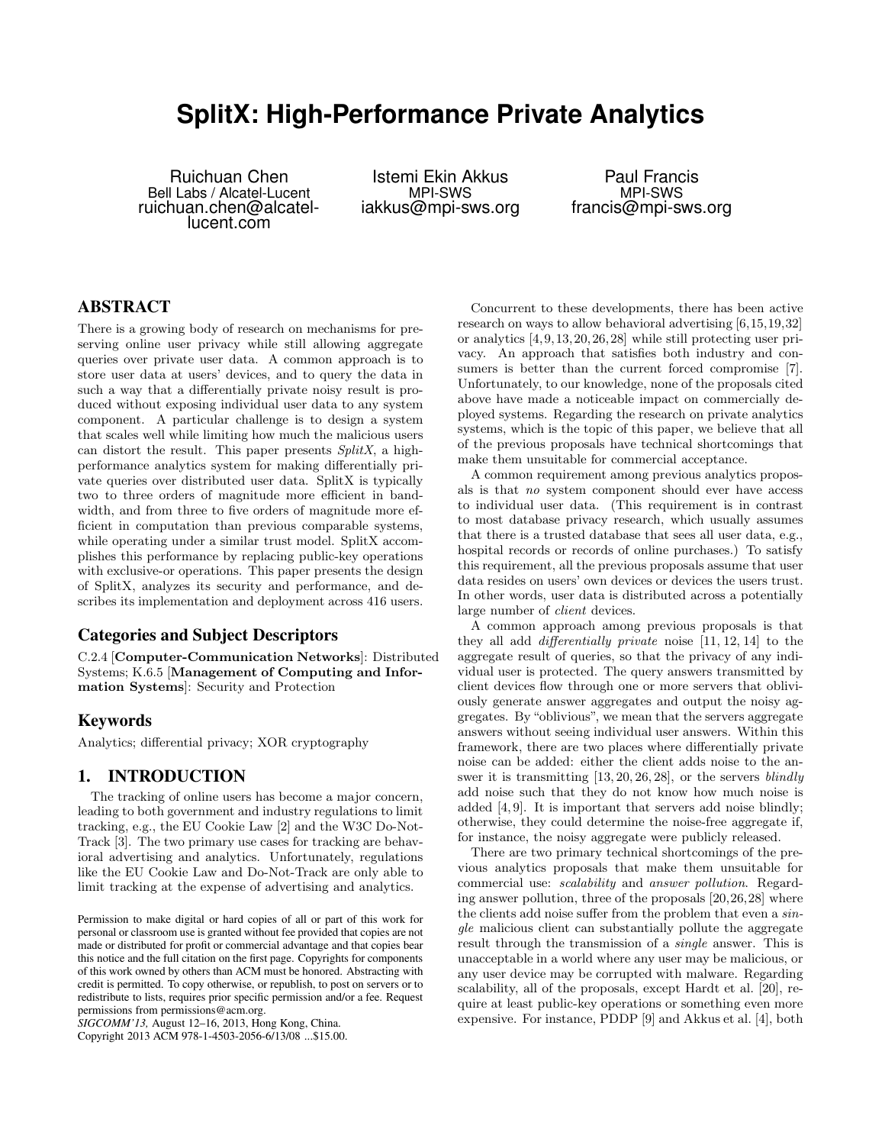# **SplitX: High-Performance Private Analytics**

Ruichuan Chen Bell Labs / Alcatel-Lucent ruichuan.chen@alcatellucent.com

Istemi Ekin Akkus MPI-SWS iakkus@mpi-sws.org

Paul Francis MPI-SWS francis@mpi-sws.org

# **ABSTRACT**

There is a growing body of research on mechanisms for preserving online user privacy while still allowing aggregate queries over private user data. A common approach is to store user data at users' devices, and to query the data in such a way that a differentially private noisy result is produced without exposing individual user data to any system component. A particular challenge is to design a system that scales well while limiting how much the malicious users can distort the result. This paper presents SplitX, a highperformance analytics system for making differentially private queries over distributed user data. SplitX is typically two to three orders of magnitude more efficient in bandwidth, and from three to five orders of magnitude more efficient in computation than previous comparable systems, while operating under a similar trust model. SplitX accomplishes this performance by replacing public-key operations with exclusive-or operations. This paper presents the design of SplitX, analyzes its security and performance, and describes its implementation and deployment across 416 users.

# **Categories and Subject Descriptors**

C.2.4 [Computer-Communication Networks]: Distributed Systems; K.6.5 [Management of Computing and Information Systems]: Security and Protection

# **Keywords**

Analytics; differential privacy; XOR cryptography

# **1. INTRODUCTION**

The tracking of online users has become a major concern, leading to both government and industry regulations to limit tracking, e.g., the EU Cookie Law [2] and the W3C Do-Not-Track [3]. The two primary use cases for tracking are behavioral advertising and analytics. Unfortunately, regulations like the EU Cookie Law and Do-Not-Track are only able to limit tracking at the expense of advertising and analytics.

Copyright 2013 ACM 978-1-4503-2056-6/13/08 ...\$15.00.

Concurrent to these developments, there has been active research on ways to allow behavioral advertising [6,15,19,32] or analytics [4,9,13,20,26,28] while still protecting user privacy. An approach that satisfies both industry and consumers is better than the current forced compromise [7]. Unfortunately, to our knowledge, none of the proposals cited above have made a noticeable impact on commercially deployed systems. Regarding the research on private analytics systems, which is the topic of this paper, we believe that all of the previous proposals have technical shortcomings that make them unsuitable for commercial acceptance.

A common requirement among previous analytics proposals is that no system component should ever have access to individual user data. (This requirement is in contrast to most database privacy research, which usually assumes that there is a trusted database that sees all user data, e.g., hospital records or records of online purchases.) To satisfy this requirement, all the previous proposals assume that user data resides on users' own devices or devices the users trust. In other words, user data is distributed across a potentially large number of *client* devices.

A common approach among previous proposals is that they all add differentially private noise [11, 12, 14] to the aggregate result of queries, so that the privacy of any individual user is protected. The query answers transmitted by client devices flow through one or more servers that obliviously generate answer aggregates and output the noisy aggregates. By "oblivious", we mean that the servers aggregate answers without seeing individual user answers. Within this framework, there are two places where differentially private noise can be added: either the client adds noise to the answer it is transmitting [13, 20, 26, 28], or the servers blindly add noise such that they do not know how much noise is added [4, 9]. It is important that servers add noise blindly; otherwise, they could determine the noise-free aggregate if, for instance, the noisy aggregate were publicly released.

There are two primary technical shortcomings of the previous analytics proposals that make them unsuitable for commercial use: scalability and answer pollution. Regarding answer pollution, three of the proposals [20,26,28] where the clients add noise suffer from the problem that even a single malicious client can substantially pollute the aggregate result through the transmission of a single answer. This is unacceptable in a world where any user may be malicious, or any user device may be corrupted with malware. Regarding scalability, all of the proposals, except Hardt et al. [20], require at least public-key operations or something even more expensive. For instance, PDDP [9] and Akkus et al. [4], both

Permission to make digital or hard copies of all or part of this work for personal or classroom use is granted without fee provided that copies are not made or distributed for profit or commercial advantage and that copies bear this notice and the full citation on the first page. Copyrights for components of this work owned by others than ACM must be honored. Abstracting with credit is permitted. To copy otherwise, or republish, to post on servers or to redistribute to lists, requires prior specific permission and/or a fee. Request permissions from permissions@acm.org.

*SIGCOMM'13,* August 12–16, 2013, Hong Kong, China.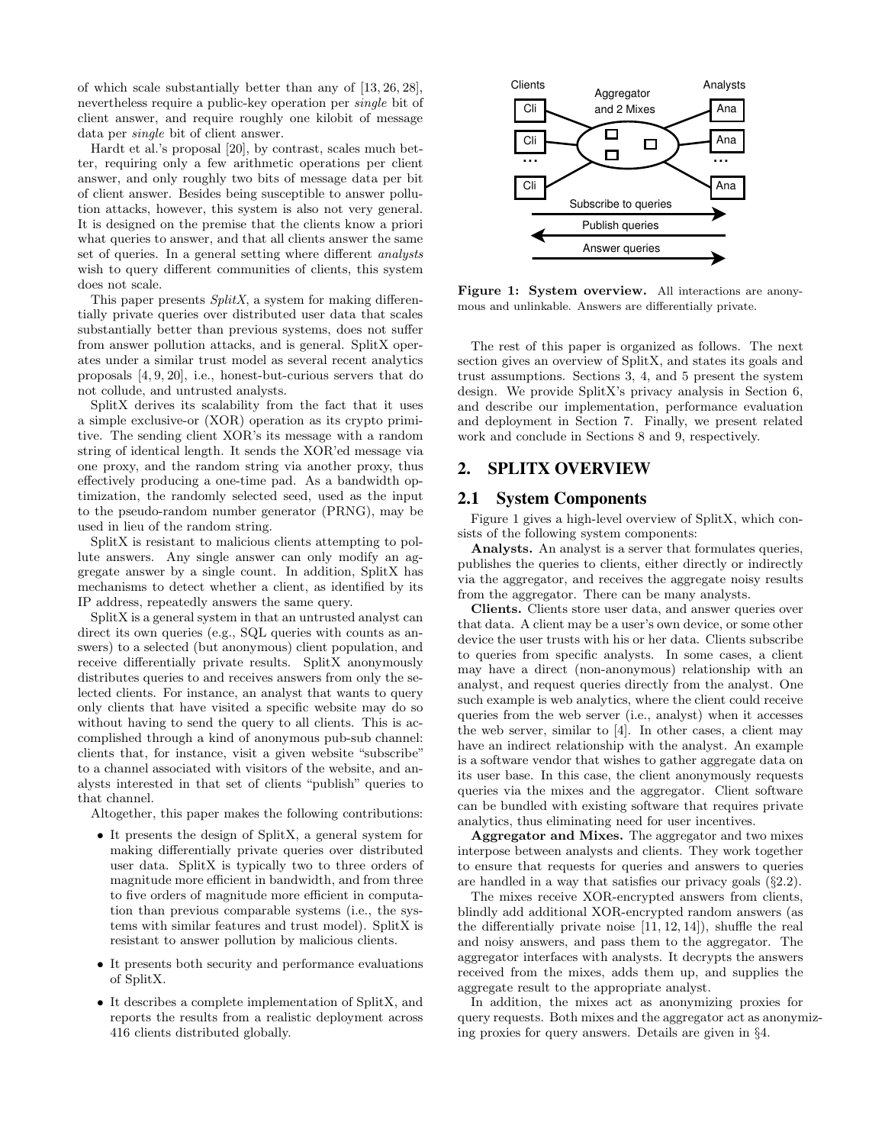of which scale substantially better than any of [13, 26, 28], nevertheless require a public-key operation per single bit of client answer, and require roughly one kilobit of message data per single bit of client answer.

Hardt et al.'s proposal [20], by contrast, scales much better, requiring only a few arithmetic operations per client answer, and only roughly two bits of message data per bit of client answer. Besides being susceptible to answer pollution attacks, however, this system is also not very general. It is designed on the premise that the clients know a priori what queries to answer, and that all clients answer the same set of queries. In a general setting where different analysts wish to query different communities of clients, this system does not scale.

This paper presents  $SplitX$ , a system for making differentially private queries over distributed user data that scales substantially better than previous systems, does not suffer from answer pollution attacks, and is general. SplitX operates under a similar trust model as several recent analytics proposals [4, 9, 20], i.e., honest-but-curious servers that do not collude, and untrusted analysts.

SplitX derives its scalability from the fact that it uses a simple exclusive-or (XOR) operation as its crypto primitive. The sending client XOR's its message with a random string of identical length. It sends the XOR'ed message via one proxy, and the random string via another proxy, thus effectively producing a one-time pad. As a bandwidth optimization, the randomly selected seed, used as the input to the pseudo-random number generator (PRNG), may be used in lieu of the random string.

SplitX is resistant to malicious clients attempting to pollute answers. Any single answer can only modify an aggregate answer by a single count. In addition, SplitX has mechanisms to detect whether a client, as identified by its IP address, repeatedly answers the same query.

SplitX is a general system in that an untrusted analyst can direct its own queries (e.g., SQL queries with counts as answers) to a selected (but anonymous) client population, and receive differentially private results. SplitX anonymously distributes queries to and receives answers from only the selected clients. For instance, an analyst that wants to query only clients that have visited a specific website may do so without having to send the query to all clients. This is accomplished through a kind of anonymous pub-sub channel: clients that, for instance, visit a given website "subscribe" to a channel associated with visitors of the website, and analysts interested in that set of clients "publish" queries to that channel.

Altogether, this paper makes the following contributions:

- It presents the design of SplitX, a general system for making differentially private queries over distributed user data. SplitX is typically two to three orders of magnitude more efficient in bandwidth, and from three to five orders of magnitude more efficient in computation than previous comparable systems (i.e., the systems with similar features and trust model). SplitX is resistant to answer pollution by malicious clients.
- It presents both security and performance evaluations of SplitX.
- It describes a complete implementation of SplitX, and reports the results from a realistic deployment across 416 clients distributed globally.



Figure 1: System overview. All interactions are anonymous and unlinkable. Answers are differentially private.

The rest of this paper is organized as follows. The next section gives an overview of SplitX, and states its goals and trust assumptions. Sections 3, 4, and 5 present the system design. We provide SplitX's privacy analysis in Section 6, and describe our implementation, performance evaluation and deployment in Section 7. Finally, we present related work and conclude in Sections 8 and 9, respectively.

# **2. SPLITX OVERVIEW**

### **2.1 System Components**

Figure 1 gives a high-level overview of SplitX, which consists of the following system components:

Analysts. An analyst is a server that formulates queries, publishes the queries to clients, either directly or indirectly via the aggregator, and receives the aggregate noisy results from the aggregator. There can be many analysts.

Clients. Clients store user data, and answer queries over that data. A client may be a user's own device, or some other device the user trusts with his or her data. Clients subscribe to queries from specific analysts. In some cases, a client may have a direct (non-anonymous) relationship with an analyst, and request queries directly from the analyst. One such example is web analytics, where the client could receive queries from the web server (i.e., analyst) when it accesses the web server, similar to [4]. In other cases, a client may have an indirect relationship with the analyst. An example is a software vendor that wishes to gather aggregate data on its user base. In this case, the client anonymously requests queries via the mixes and the aggregator. Client software can be bundled with existing software that requires private analytics, thus eliminating need for user incentives.

Aggregator and Mixes. The aggregator and two mixes interpose between analysts and clients. They work together to ensure that requests for queries and answers to queries are handled in a way that satisfies our privacy goals (§2.2).

The mixes receive XOR-encrypted answers from clients, blindly add additional XOR-encrypted random answers (as the differentially private noise [11, 12, 14]), shuffle the real and noisy answers, and pass them to the aggregator. The aggregator interfaces with analysts. It decrypts the answers received from the mixes, adds them up, and supplies the aggregate result to the appropriate analyst.

In addition, the mixes act as anonymizing proxies for query requests. Both mixes and the aggregator act as anonymizing proxies for query answers. Details are given in §4.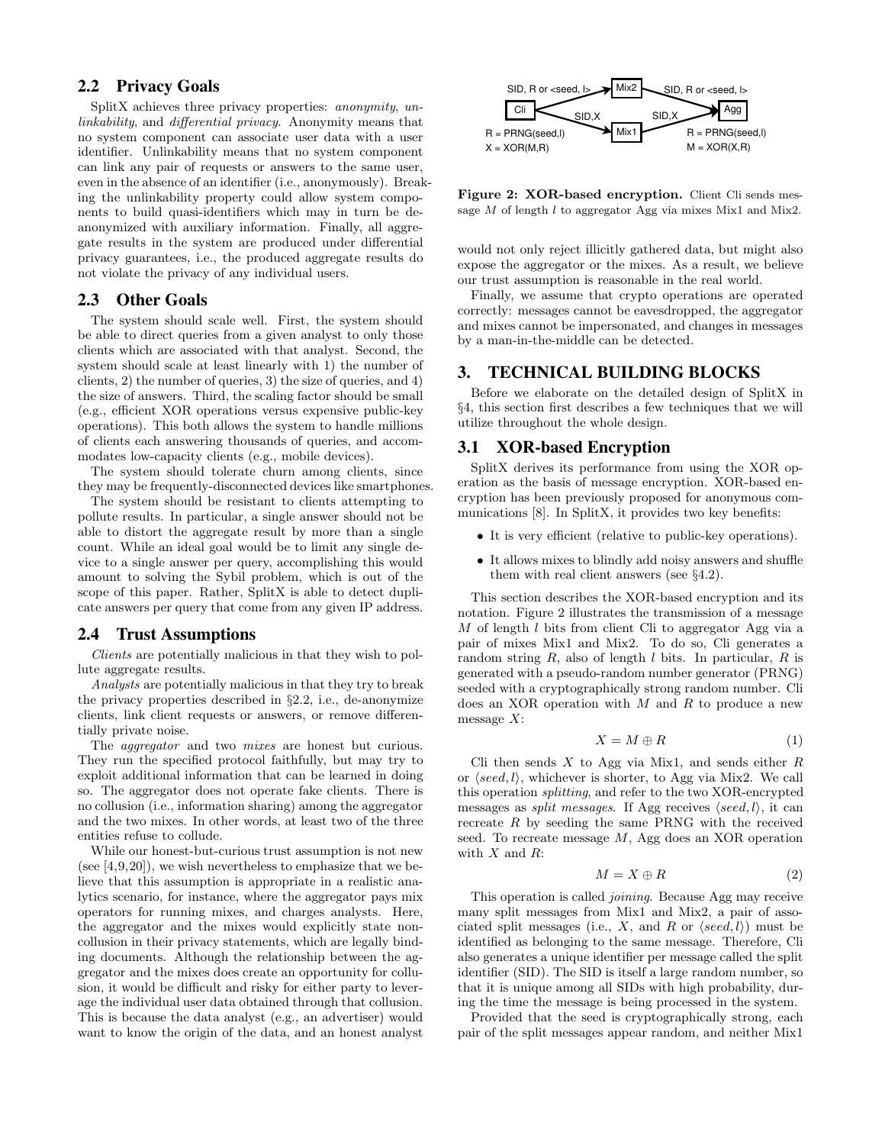# **2.2 Privacy Goals**

SplitX achieves three privacy properties: *anonymity*, *un*linkability, and differential privacy. Anonymity means that no system component can associate user data with a user identifier. Unlinkability means that no system component can link any pair of requests or answers to the same user, even in the absence of an identifier (i.e., anonymously). Breaking the unlinkability property could allow system components to build quasi-identifiers which may in turn be deanonymized with auxiliary information. Finally, all aggregate results in the system are produced under differential privacy guarantees, i.e., the produced aggregate results do not violate the privacy of any individual users.

# **2.3 Other Goals**

The system should scale well. First, the system should be able to direct queries from a given analyst to only those clients which are associated with that analyst. Second, the system should scale at least linearly with 1) the number of clients, 2) the number of queries, 3) the size of queries, and 4) the size of answers. Third, the scaling factor should be small (e.g., efficient XOR operations versus expensive public-key operations). This both allows the system to handle millions of clients each answering thousands of queries, and accommodates low-capacity clients (e.g., mobile devices).

The system should tolerate churn among clients, since they may be frequently-disconnected devices like smartphones.

The system should be resistant to clients attempting to pollute results. In particular, a single answer should not be able to distort the aggregate result by more than a single count. While an ideal goal would be to limit any single device to a single answer per query, accomplishing this would amount to solving the Sybil problem, which is out of the scope of this paper. Rather, SplitX is able to detect duplicate answers per query that come from any given IP address.

### **2.4 Trust Assumptions**

Clients are potentially malicious in that they wish to pollute aggregate results.

Analysts are potentially malicious in that they try to break the privacy properties described in §2.2, i.e., de-anonymize clients, link client requests or answers, or remove differentially private noise.

The *aggregator* and two *mixes* are honest but curious. They run the specified protocol faithfully, but may try to exploit additional information that can be learned in doing so. The aggregator does not operate fake clients. There is no collusion (i.e., information sharing) among the aggregator and the two mixes. In other words, at least two of the three entities refuse to collude.

While our honest-but-curious trust assumption is not new (see  $[4,9,20]$ ), we wish nevertheless to emphasize that we believe that this assumption is appropriate in a realistic analytics scenario, for instance, where the aggregator pays mix operators for running mixes, and charges analysts. Here, the aggregator and the mixes would explicitly state noncollusion in their privacy statements, which are legally binding documents. Although the relationship between the aggregator and the mixes does create an opportunity for collusion, it would be difficult and risky for either party to leverage the individual user data obtained through that collusion. This is because the data analyst (e.g., an advertiser) would want to know the origin of the data, and an honest analyst



Figure 2: XOR-based encryption. Client Cli sends message  $M$  of length  $l$  to aggregator Agg via mixes Mix1 and Mix2.

would not only reject illicitly gathered data, but might also expose the aggregator or the mixes. As a result, we believe our trust assumption is reasonable in the real world.

Finally, we assume that crypto operations are operated correctly: messages cannot be eavesdropped, the aggregator and mixes cannot be impersonated, and changes in messages by a man-in-the-middle can be detected.

# **3. TECHNICAL BUILDING BLOCKS**

Before we elaborate on the detailed design of SplitX in §4, this section first describes a few techniques that we will utilize throughout the whole design.

#### **3.1 XOR-based Encryption**

SplitX derives its performance from using the XOR operation as the basis of message encryption. XOR-based encryption has been previously proposed for anonymous communications [8]. In SplitX, it provides two key benefits:

- It is very efficient (relative to public-key operations).
- It allows mixes to blindly add noisy answers and shuffle them with real client answers (see §4.2).

This section describes the XOR-based encryption and its notation. Figure 2 illustrates the transmission of a message M of length l bits from client Cli to aggregator Agg via a pair of mixes Mix1 and Mix2. To do so, Cli generates a random string  $R$ , also of length  $l$  bits. In particular,  $R$  is generated with a pseudo-random number generator (PRNG) seeded with a cryptographically strong random number. Cli does an XOR operation with  $M$  and  $R$  to produce a new message  $X$ :

$$
X = M \oplus R \tag{1}
$$

Cli then sends  $X$  to Agg via Mix1, and sends either  $R$ or  $\langle seed, l \rangle$ , whichever is shorter, to Agg via Mix2. We call this operation splitting, and refer to the two XOR-encrypted messages as *split messages*. If Agg receives  $\langle seed, l \rangle$ , it can recreate R by seeding the same PRNG with the received seed. To recreate message M, Agg does an XOR operation with  $X$  and  $R$ :

$$
M = X \oplus R \tag{2}
$$

This operation is called joining. Because Agg may receive many split messages from Mix1 and Mix2, a pair of associated split messages (i.e., X, and R or  $\langle seed, l \rangle$ ) must be identified as belonging to the same message. Therefore, Cli also generates a unique identifier per message called the split identifier (SID). The SID is itself a large random number, so that it is unique among all SIDs with high probability, during the time the message is being processed in the system.

Provided that the seed is cryptographically strong, each pair of the split messages appear random, and neither Mix1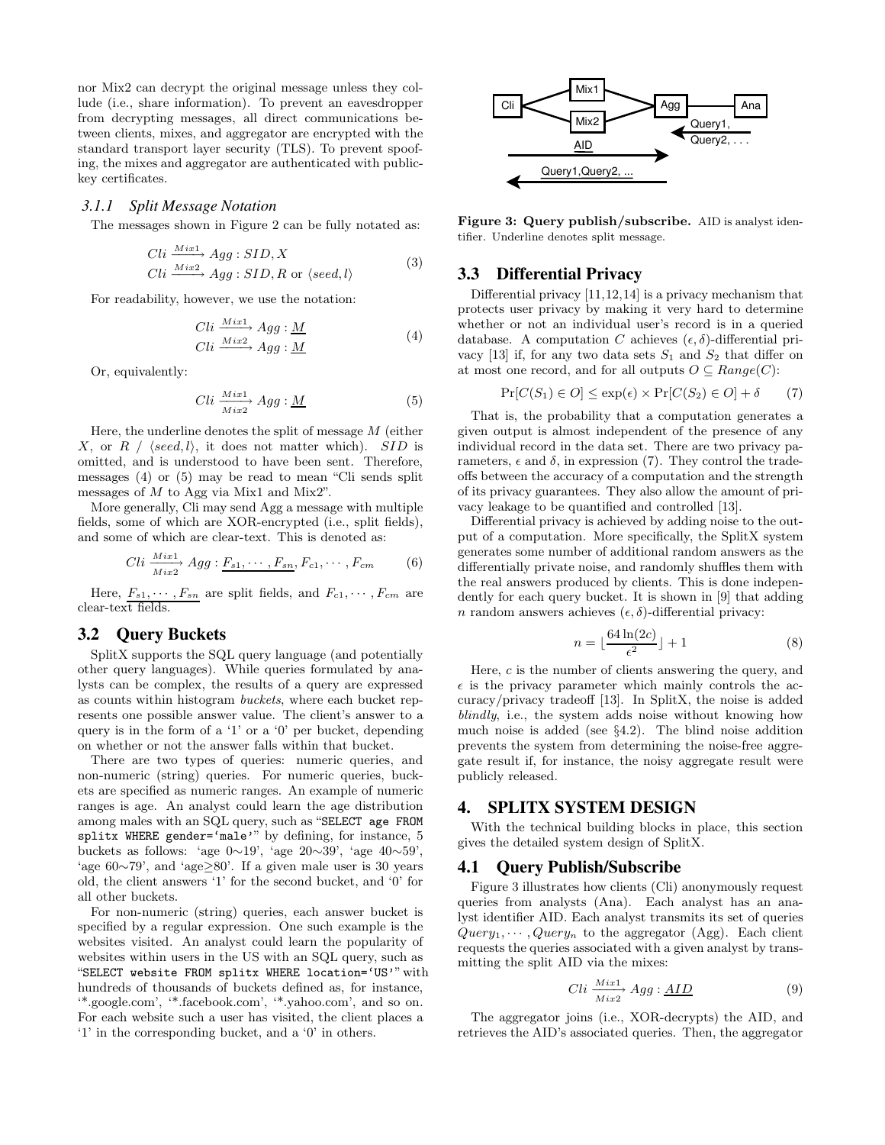nor Mix2 can decrypt the original message unless they collude (i.e., share information). To prevent an eavesdropper from decrypting messages, all direct communications between clients, mixes, and aggregator are encrypted with the standard transport layer security (TLS). To prevent spoofing, the mixes and aggregator are authenticated with publickey certificates.

#### *3.1.1 Split Message Notation*

The messages shown in Figure 2 can be fully notated as:

$$
Cli \xrightarrow{Mix1} Agg : SID, X
$$
  
\n
$$
Cli \xrightarrow{Mix2} Agg : SID, R \text{ or } \langle seed, l \rangle
$$
 (3)

For readability, however, we use the notation:

$$
Cli \xrightarrow{Mix1} Agg: \underline{M}
$$
  
\n
$$
Cli \xrightarrow{Mix2} Agg: \underline{M}
$$
\n(4)

Or, equivalently:

$$
Cli \xrightarrow[Mix2]{Mix1} Agg: \underline{M} \tag{5}
$$

Here, the underline denotes the split of message  $M$  (either X, or R /  $\langle seed, l \rangle$ , it does not matter which). SID is omitted, and is understood to have been sent. Therefore, messages (4) or (5) may be read to mean "Cli sends split messages of  $M$  to Agg via Mix1 and Mix2".

More generally, Cli may send Agg a message with multiple fields, some of which are XOR-encrypted (i.e., split fields), and some of which are clear-text. This is denoted as:

$$
Cli \frac{Mix1}{Mix2} Agg: F_{s1}, \cdots, F_{sn}, F_{c1}, \cdots, F_{cm}
$$
 (6)

Here,  $F_{s1}, \dots, F_{sn}$  are split fields, and  $F_{c1}, \dots, F_{cm}$  are clear-text fields.

### **3.2 Query Buckets**

SplitX supports the SQL query language (and potentially other query languages). While queries formulated by analysts can be complex, the results of a query are expressed as counts within histogram buckets, where each bucket represents one possible answer value. The client's answer to a query is in the form of a '1' or a '0' per bucket, depending on whether or not the answer falls within that bucket.

There are two types of queries: numeric queries, and non-numeric (string) queries. For numeric queries, buckets are specified as numeric ranges. An example of numeric ranges is age. An analyst could learn the age distribution among males with an SQL query, such as "SELECT age FROM splitx WHERE gender='male'" by defining, for instance, 5 buckets as follows: 'age  $0\sim19'$ , 'age  $20\sim39'$ , 'age  $40\sim59'$ , 'age 60∼79', and 'age≥80'. If a given male user is 30 years old, the client answers '1' for the second bucket, and '0' for all other buckets.

For non-numeric (string) queries, each answer bucket is specified by a regular expression. One such example is the websites visited. An analyst could learn the popularity of websites within users in the US with an SQL query, such as "SELECT website FROM splitx WHERE location='US'" with hundreds of thousands of buckets defined as, for instance, '\*.google.com', '\*.facebook.com', '\*.yahoo.com', and so on. For each website such a user has visited, the client places a '1' in the corresponding bucket, and a '0' in others.



Figure 3: Query publish/subscribe. AID is analyst identifier. Underline denotes split message.

### **3.3 Differential Privacy**

Differential privacy [11,12,14] is a privacy mechanism that protects user privacy by making it very hard to determine whether or not an individual user's record is in a queried database. A computation C achieves  $(\epsilon, \delta)$ -differential privacy [13] if, for any two data sets  $S_1$  and  $S_2$  that differ on at most one record, and for all outputs  $O \subseteq Range(C)$ :

$$
\Pr[C(S_1) \in O] \le \exp(\epsilon) \times \Pr[C(S_2) \in O] + \delta \tag{7}
$$

That is, the probability that a computation generates a given output is almost independent of the presence of any individual record in the data set. There are two privacy parameters,  $\epsilon$  and  $\delta$ , in expression (7). They control the tradeoffs between the accuracy of a computation and the strength of its privacy guarantees. They also allow the amount of privacy leakage to be quantified and controlled [13].

Differential privacy is achieved by adding noise to the output of a computation. More specifically, the SplitX system generates some number of additional random answers as the differentially private noise, and randomly shuffles them with the real answers produced by clients. This is done independently for each query bucket. It is shown in [9] that adding n random answers achieves  $(\epsilon, \delta)$ -differential privacy:

$$
n = \lfloor \frac{64 \ln(2c)}{\epsilon^2} \rfloor + 1 \tag{8}
$$

Here, c is the number of clients answering the query, and  $\epsilon$  is the privacy parameter which mainly controls the accuracy/privacy tradeoff [13]. In SplitX, the noise is added blindly, i.e., the system adds noise without knowing how much noise is added (see §4.2). The blind noise addition prevents the system from determining the noise-free aggregate result if, for instance, the noisy aggregate result were publicly released.

### **4. SPLITX SYSTEM DESIGN**

With the technical building blocks in place, this section gives the detailed system design of SplitX.

### **4.1 Query Publish/Subscribe**

Figure 3 illustrates how clients (Cli) anonymously request queries from analysts (Ana). Each analyst has an analyst identifier AID. Each analyst transmits its set of queries  $Query_1, \cdots, Query_n$  to the aggregator (Agg). Each client requests the queries associated with a given analyst by transmitting the split AID via the mixes:

$$
Cli \xrightarrow[Mix2]{Mix1} Agg: \underline{AID} \tag{9}
$$

The aggregator joins (i.e., XOR-decrypts) the AID, and retrieves the AID's associated queries. Then, the aggregator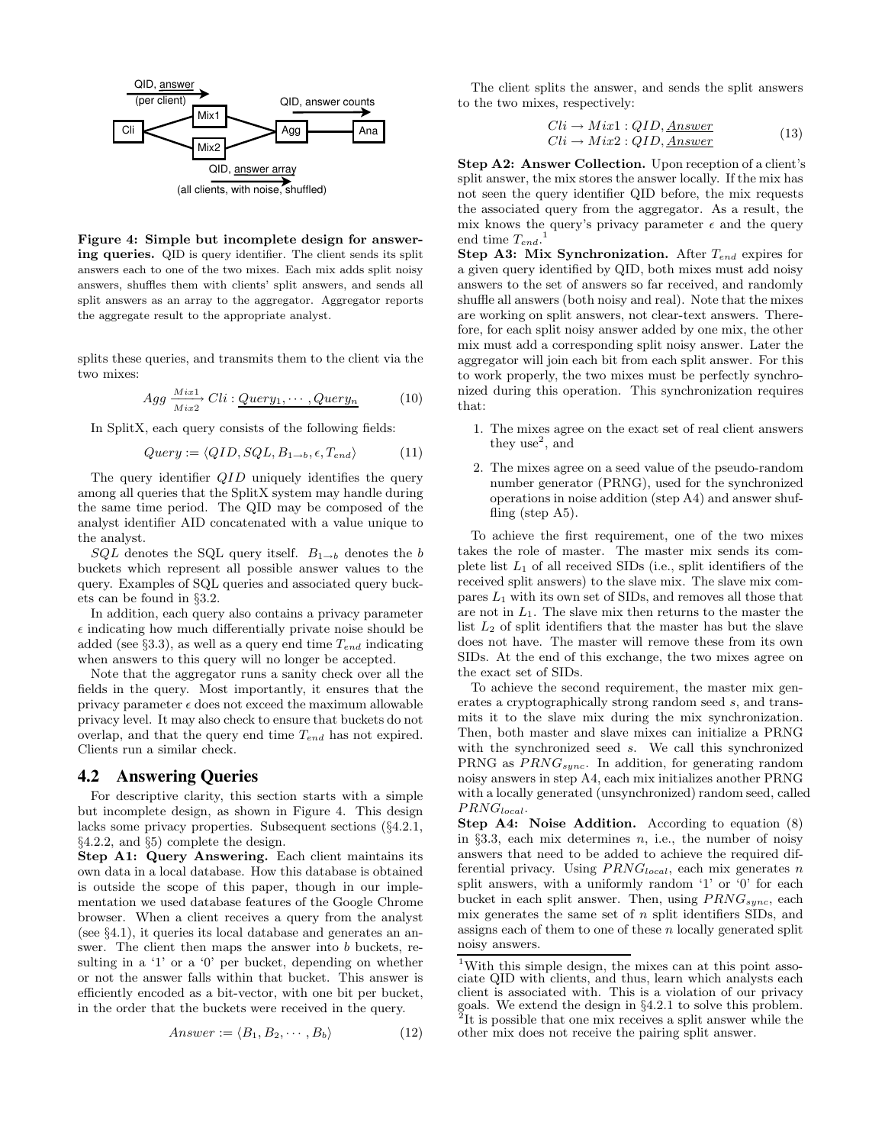

Figure 4: Simple but incomplete design for answering queries. QID is query identifier. The client sends its split answers each to one of the two mixes. Each mix adds split noisy answers, shuffles them with clients' split answers, and sends all split answers as an array to the aggregator. Aggregator reports the aggregate result to the appropriate analyst.

splits these queries, and transmits them to the client via the two mixes:

$$
Agg \xrightarrow[Mix2]{Mix2} Cli: \underline{Query_1, \cdots, Query_n} \tag{10}
$$

In SplitX, each query consists of the following fields:

$$
Query := \langle QID, SQL, B_{1\rightarrow b}, \epsilon, T_{end} \rangle \tag{11}
$$

The query identifier *QID* uniquely identifies the query among all queries that the SplitX system may handle during the same time period. The QID may be composed of the analyst identifier AID concatenated with a value unique to the analyst.

 $SQL$  denotes the SQL query itself.  $B_{1\rightarrow b}$  denotes the b buckets which represent all possible answer values to the query. Examples of SQL queries and associated query buckets can be found in §3.2.

In addition, each query also contains a privacy parameter  $\epsilon$  indicating how much differentially private noise should be added (see §3.3), as well as a query end time  $T_{end}$  indicating when answers to this query will no longer be accepted.

Note that the aggregator runs a sanity check over all the fields in the query. Most importantly, it ensures that the privacy parameter  $\epsilon$  does not exceed the maximum allowable privacy level. It may also check to ensure that buckets do not overlap, and that the query end time  $T_{end}$  has not expired. Clients run a similar check.

#### **4.2 Answering Queries**

For descriptive clarity, this section starts with a simple but incomplete design, as shown in Figure 4. This design lacks some privacy properties. Subsequent sections (§4.2.1, §4.2.2, and §5) complete the design.

Step A1: Query Answering. Each client maintains its own data in a local database. How this database is obtained is outside the scope of this paper, though in our implementation we used database features of the Google Chrome browser. When a client receives a query from the analyst (see §4.1), it queries its local database and generates an answer. The client then maps the answer into  $b$  buckets, resulting in a '1' or a '0' per bucket, depending on whether or not the answer falls within that bucket. This answer is efficiently encoded as a bit-vector, with one bit per bucket, in the order that the buckets were received in the query.

$$
Answer := \langle B_1, B_2, \cdots, B_b \rangle \tag{12}
$$

The client splits the answer, and sends the split answers to the two mixes, respectively:

$$
Cli \to Mix1 : QID, \underline{Answer}
$$
  
\n
$$
Cli \to Mix2 : QID, \underline{Answer}
$$
 (13)

Step A2: Answer Collection. Upon reception of a client's split answer, the mix stores the answer locally. If the mix has not seen the query identifier QID before, the mix requests the associated query from the aggregator. As a result, the mix knows the query's privacy parameter  $\epsilon$  and the query end time  $T_{end}$ <sup>1</sup>

Step A3: Mix Synchronization. After  $T_{end}$  expires for a given query identified by QID, both mixes must add noisy answers to the set of answers so far received, and randomly shuffle all answers (both noisy and real). Note that the mixes are working on split answers, not clear-text answers. Therefore, for each split noisy answer added by one mix, the other mix must add a corresponding split noisy answer. Later the aggregator will join each bit from each split answer. For this to work properly, the two mixes must be perfectly synchronized during this operation. This synchronization requires that:

- 1. The mixes agree on the exact set of real client answers they use<sup>2</sup>, and
- 2. The mixes agree on a seed value of the pseudo-random number generator (PRNG), used for the synchronized operations in noise addition (step A4) and answer shuffling (step A5).

To achieve the first requirement, one of the two mixes takes the role of master. The master mix sends its complete list  $L_1$  of all received SIDs (i.e., split identifiers of the received split answers) to the slave mix. The slave mix compares  $L_1$  with its own set of SIDs, and removes all those that are not in  $L_1$ . The slave mix then returns to the master the list  $L_2$  of split identifiers that the master has but the slave does not have. The master will remove these from its own SIDs. At the end of this exchange, the two mixes agree on the exact set of SIDs.

To achieve the second requirement, the master mix generates a cryptographically strong random seed s, and transmits it to the slave mix during the mix synchronization. Then, both master and slave mixes can initialize a PRNG with the synchronized seed s. We call this synchronized PRNG as  $PRNG<sub>sync</sub>$ . In addition, for generating random noisy answers in step A4, each mix initializes another PRNG with a locally generated (unsynchronized) random seed, called  $PRNG_{local}$ .

Step A4: Noise Addition. According to equation (8) in §3.3, each mix determines  $n$ , i.e., the number of noisy answers that need to be added to achieve the required differential privacy. Using  $PRNG<sub>local</sub>$ , each mix generates n split answers, with a uniformly random '1' or '0' for each bucket in each split answer. Then, using  $PRNG_{sync}$ , each mix generates the same set of  $n$  split identifiers SIDs, and assigns each of them to one of these  $n$  locally generated split noisy answers.

<sup>&</sup>lt;sup>1</sup>With this simple design, the mixes can at this point associate QID with clients, and thus, learn which analysts each client is associated with. This is a violation of our privacy goals. We extend the design in §4.2.1 to solve this problem. 2 It is possible that one mix receives a split answer while the other mix does not receive the pairing split answer.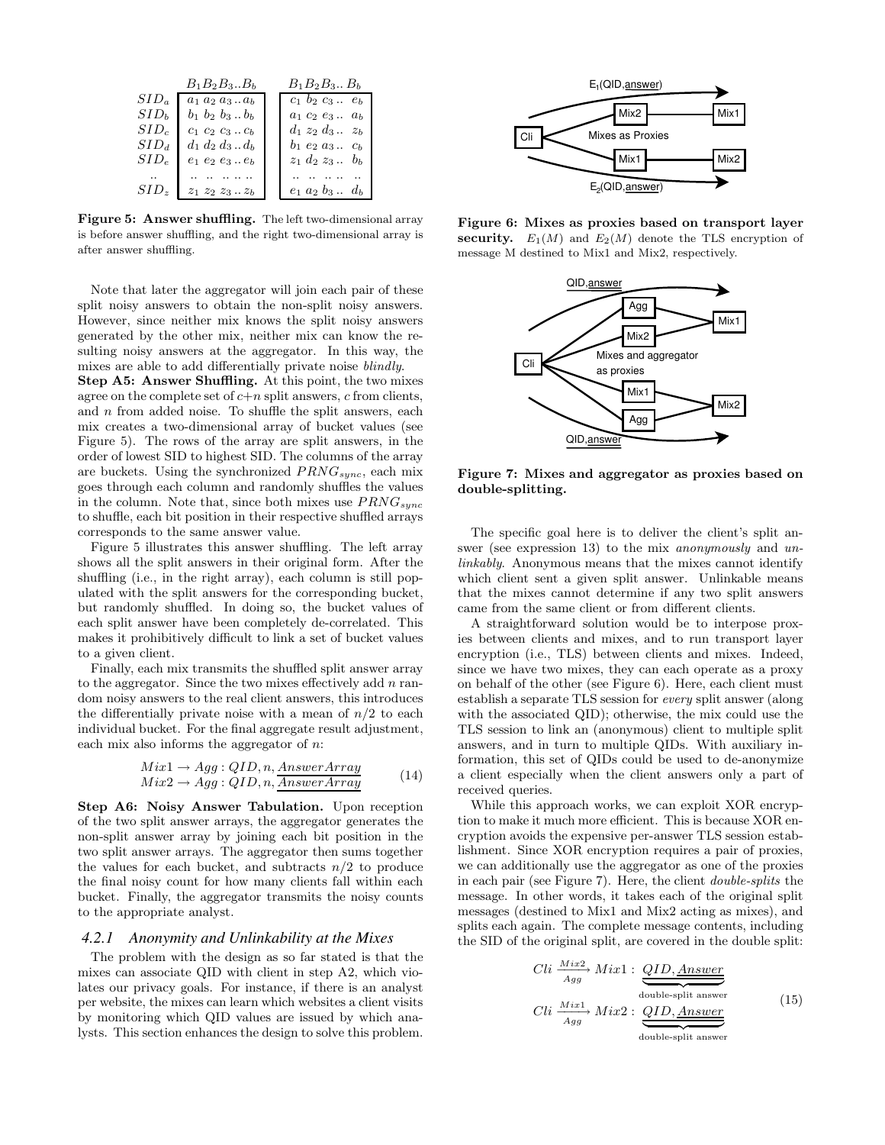|                  | $B_1B_2B_3B_h$                                                                     | $B_1B_2B_3B_b$           |
|------------------|------------------------------------------------------------------------------------|--------------------------|
| $SID_a$          | $a_1 a_2 a_3  a_b$                                                                 | $c_1$ $b_2$ $c_3$ $e_b$  |
| SID <sub>b</sub> | $b_1$ $b_2$ $b_3$ $b_b$                                                            | $a_1$ $c_2$ $e_3$ $a_b$  |
| SID <sub>c</sub> | $c_1 c_2 c_3  c_b$                                                                 | $d_1 z_2 d_3 \ldots z_b$ |
| $SID_d$          | $d_1 d_2 d_3  d_b$                                                                 | $b_1$ $e_2$ $a_3$ $c_b$  |
| $SID_e$          | $\boldsymbol{e}_1$ $\boldsymbol{e}_2$ $\boldsymbol{e}_3$ .<br>. $\boldsymbol{e}_b$ | $z_1$ $d_2$ $z_3$ $b_b$  |
|                  |                                                                                    |                          |
| SI D.            | $z_1 z_2 z_3 \ldots z_b$                                                           | $e_1$ $a_2$ $b_3$ $d_b$  |

Figure 5: Answer shuffling. The left two-dimensional array is before answer shuffling, and the right two-dimensional array is after answer shuffling.

Note that later the aggregator will join each pair of these split noisy answers to obtain the non-split noisy answers. However, since neither mix knows the split noisy answers generated by the other mix, neither mix can know the resulting noisy answers at the aggregator. In this way, the mixes are able to add differentially private noise blindly.

Step A5: Answer Shuffling. At this point, the two mixes agree on the complete set of  $c+n$  split answers, c from clients, and  $n$  from added noise. To shuffle the split answers, each mix creates a two-dimensional array of bucket values (see Figure 5). The rows of the array are split answers, in the order of lowest SID to highest SID. The columns of the array are buckets. Using the synchronized  $PRNG_{sync}$ , each mix goes through each column and randomly shuffles the values in the column. Note that, since both mixes use  $PRNG_{sync}$ to shuffle, each bit position in their respective shuffled arrays corresponds to the same answer value.

Figure 5 illustrates this answer shuffling. The left array shows all the split answers in their original form. After the shuffling (i.e., in the right array), each column is still populated with the split answers for the corresponding bucket, but randomly shuffled. In doing so, the bucket values of each split answer have been completely de-correlated. This makes it prohibitively difficult to link a set of bucket values to a given client.

Finally, each mix transmits the shuffled split answer array to the aggregator. Since the two mixes effectively add  $n$  random noisy answers to the real client answers, this introduces the differentially private noise with a mean of  $n/2$  to each individual bucket. For the final aggregate result adjustment, each mix also informs the aggregator of  $n$ .

$$
Mix1 \rightarrow Agg: QID, n, AnswerArrayMix2 \rightarrow Agg: QID, n, AnswerArray
$$
\n(14)

Step A6: Noisy Answer Tabulation. Upon reception of the two split answer arrays, the aggregator generates the non-split answer array by joining each bit position in the two split answer arrays. The aggregator then sums together the values for each bucket, and subtracts  $n/2$  to produce the final noisy count for how many clients fall within each bucket. Finally, the aggregator transmits the noisy counts to the appropriate analyst.

#### *4.2.1 Anonymity and Unlinkability at the Mixes*

The problem with the design as so far stated is that the mixes can associate QID with client in step A2, which violates our privacy goals. For instance, if there is an analyst per website, the mixes can learn which websites a client visits by monitoring which QID values are issued by which analysts. This section enhances the design to solve this problem.



Figure 6: Mixes as proxies based on transport layer security.  $E_1(M)$  and  $E_2(M)$  denote the TLS encryption of message M destined to Mix1 and Mix2, respectively.



Figure 7: Mixes and aggregator as proxies based on double-splitting.

The specific goal here is to deliver the client's split answer (see expression 13) to the mix *anonymously* and *un*linkably. Anonymous means that the mixes cannot identify which client sent a given split answer. Unlinkable means that the mixes cannot determine if any two split answers came from the same client or from different clients.

A straightforward solution would be to interpose proxies between clients and mixes, and to run transport layer encryption (i.e., TLS) between clients and mixes. Indeed, since we have two mixes, they can each operate as a proxy on behalf of the other (see Figure 6). Here, each client must establish a separate TLS session for every split answer (along with the associated QID); otherwise, the mix could use the TLS session to link an (anonymous) client to multiple split answers, and in turn to multiple QIDs. With auxiliary information, this set of QIDs could be used to de-anonymize a client especially when the client answers only a part of received queries.

While this approach works, we can exploit XOR encryption to make it much more efficient. This is because XOR encryption avoids the expensive per-answer TLS session establishment. Since XOR encryption requires a pair of proxies, we can additionally use the aggregator as one of the proxies in each pair (see Figure 7). Here, the client double-splits the message. In other words, it takes each of the original split messages (destined to Mix1 and Mix2 acting as mixes), and splits each again. The complete message contents, including the SID of the original split, are covered in the double split:

$$
Cli \frac{Mix^{2}}{Agg} Mix1 : \underbrace{QID, \underline{Answer}}_{\text{double-split answer}}
$$
\n
$$
Cli \frac{Mix^{1}}{Agg} Mix2 : \underbrace{QID, \underline{Answer}}_{\text{double-split answer}}
$$
\n(15)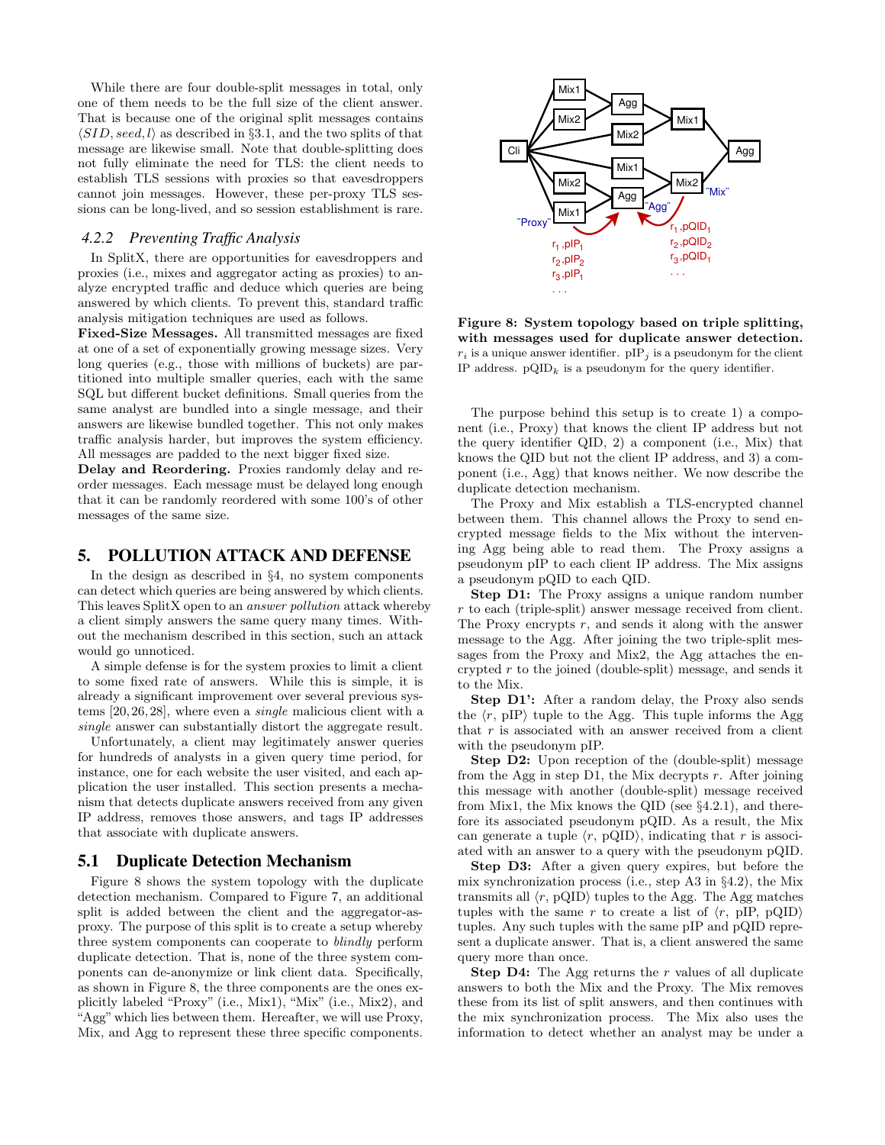While there are four double-split messages in total, only one of them needs to be the full size of the client answer. That is because one of the original split messages contains  $\langle SID, seed, l \rangle$  as described in §3.1, and the two splits of that message are likewise small. Note that double-splitting does not fully eliminate the need for TLS: the client needs to establish TLS sessions with proxies so that eavesdroppers cannot join messages. However, these per-proxy TLS sessions can be long-lived, and so session establishment is rare.

#### *4.2.2 Preventing Traffic Analysis*

In SplitX, there are opportunities for eavesdroppers and proxies (i.e., mixes and aggregator acting as proxies) to analyze encrypted traffic and deduce which queries are being answered by which clients. To prevent this, standard traffic analysis mitigation techniques are used as follows.

Fixed-Size Messages. All transmitted messages are fixed at one of a set of exponentially growing message sizes. Very long queries (e.g., those with millions of buckets) are partitioned into multiple smaller queries, each with the same SQL but different bucket definitions. Small queries from the same analyst are bundled into a single message, and their answers are likewise bundled together. This not only makes traffic analysis harder, but improves the system efficiency. All messages are padded to the next bigger fixed size.

Delay and Reordering. Proxies randomly delay and reorder messages. Each message must be delayed long enough that it can be randomly reordered with some 100's of other messages of the same size.

#### **5. POLLUTION ATTACK AND DEFENSE**

In the design as described in §4, no system components can detect which queries are being answered by which clients. This leaves SplitX open to an answer pollution attack whereby a client simply answers the same query many times. Without the mechanism described in this section, such an attack would go unnoticed.

A simple defense is for the system proxies to limit a client to some fixed rate of answers. While this is simple, it is already a significant improvement over several previous systems [20, 26, 28], where even a single malicious client with a single answer can substantially distort the aggregate result.

Unfortunately, a client may legitimately answer queries for hundreds of analysts in a given query time period, for instance, one for each website the user visited, and each application the user installed. This section presents a mechanism that detects duplicate answers received from any given IP address, removes those answers, and tags IP addresses that associate with duplicate answers.

#### **5.1 Duplicate Detection Mechanism**

Figure 8 shows the system topology with the duplicate detection mechanism. Compared to Figure 7, an additional split is added between the client and the aggregator-asproxy. The purpose of this split is to create a setup whereby three system components can cooperate to blindly perform duplicate detection. That is, none of the three system components can de-anonymize or link client data. Specifically, as shown in Figure 8, the three components are the ones explicitly labeled "Proxy" (i.e., Mix1), "Mix" (i.e., Mix2), and "Agg"which lies between them. Hereafter, we will use Proxy, Mix, and Agg to represent these three specific components.



Figure 8: System topology based on triple splitting, with messages used for duplicate answer detection.  $r_i$  is a unique answer identifier.  $\text{pIP}_i$  is a pseudonym for the client IP address.  $pQID_k$  is a pseudonym for the query identifier.

The purpose behind this setup is to create 1) a component (i.e., Proxy) that knows the client IP address but not the query identifier QID, 2) a component (i.e., Mix) that knows the QID but not the client IP address, and 3) a component (i.e., Agg) that knows neither. We now describe the duplicate detection mechanism.

The Proxy and Mix establish a TLS-encrypted channel between them. This channel allows the Proxy to send encrypted message fields to the Mix without the intervening Agg being able to read them. The Proxy assigns a pseudonym pIP to each client IP address. The Mix assigns a pseudonym pQID to each QID.

Step D1: The Proxy assigns a unique random number r to each (triple-split) answer message received from client. The Proxy encrypts r, and sends it along with the answer message to the Agg. After joining the two triple-split messages from the Proxy and Mix2, the Agg attaches the encrypted r to the joined (double-split) message, and sends it to the Mix.

Step D1': After a random delay, the Proxy also sends the  $\langle r, pIP \rangle$  tuple to the Agg. This tuple informs the Agg that  $r$  is associated with an answer received from a client with the pseudonym pIP.

Step D2: Upon reception of the (double-split) message from the Agg in step D1, the Mix decrypts  $r$ . After joining this message with another (double-split) message received from Mix1, the Mix knows the QID (see §4.2.1), and therefore its associated pseudonym pQID. As a result, the Mix can generate a tuple  $\langle r, \text{ pQID} \rangle$ , indicating that r is associated with an answer to a query with the pseudonym pQID.

Step D3: After a given query expires, but before the mix synchronization process (i.e., step A3 in §4.2), the Mix transmits all  $\langle r, \text{pQID} \rangle$  tuples to the Agg. The Agg matches tuples with the same r to create a list of  $\langle r, pIP, pQID \rangle$ tuples. Any such tuples with the same pIP and pQID represent a duplicate answer. That is, a client answered the same query more than once.

**Step D4:** The Agg returns the  $r$  values of all duplicate answers to both the Mix and the Proxy. The Mix removes these from its list of split answers, and then continues with the mix synchronization process. The Mix also uses the information to detect whether an analyst may be under a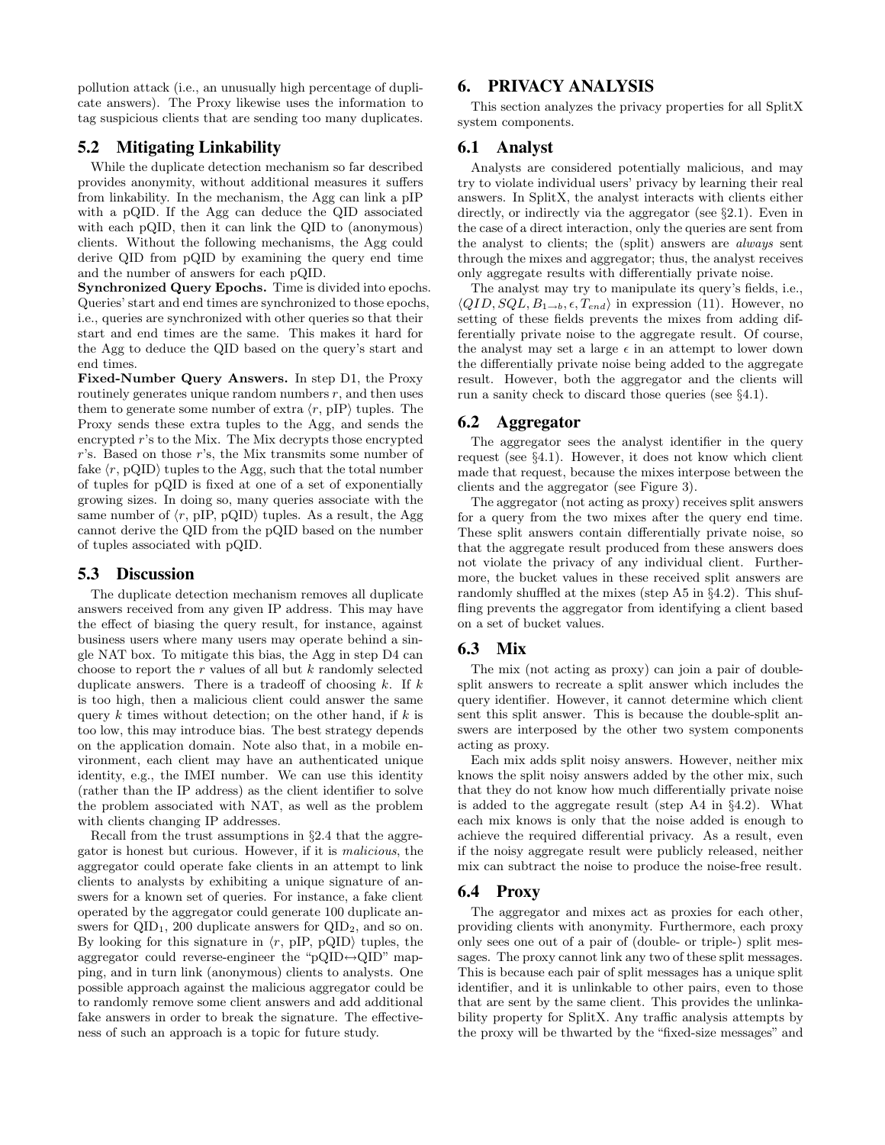pollution attack (i.e., an unusually high percentage of duplicate answers). The Proxy likewise uses the information to tag suspicious clients that are sending too many duplicates.

# **5.2 Mitigating Linkability**

While the duplicate detection mechanism so far described provides anonymity, without additional measures it suffers from linkability. In the mechanism, the Agg can link a pIP with a pQID. If the Agg can deduce the QID associated with each pQID, then it can link the QID to (anonymous) clients. Without the following mechanisms, the Agg could derive QID from pQID by examining the query end time and the number of answers for each pQID.

Synchronized Query Epochs. Time is divided into epochs. Queries' start and end times are synchronized to those epochs, i.e., queries are synchronized with other queries so that their start and end times are the same. This makes it hard for the Agg to deduce the QID based on the query's start and end times.

Fixed-Number Query Answers. In step D1, the Proxy routinely generates unique random numbers  $r$ , and then uses them to generate some number of extra  $\langle r, pIP \rangle$  tuples. The Proxy sends these extra tuples to the Agg, and sends the encrypted r's to the Mix. The Mix decrypts those encrypted r's. Based on those r's, the Mix transmits some number of fake  $\langle r, \text{pQID} \rangle$  tuples to the Agg, such that the total number of tuples for pQID is fixed at one of a set of exponentially growing sizes. In doing so, many queries associate with the same number of  $\langle r, pIP, pQID \rangle$  tuples. As a result, the Agg cannot derive the QID from the pQID based on the number of tuples associated with pQID.

# **5.3 Discussion**

The duplicate detection mechanism removes all duplicate answers received from any given IP address. This may have the effect of biasing the query result, for instance, against business users where many users may operate behind a single NAT box. To mitigate this bias, the Agg in step D4 can choose to report the  $r$  values of all but  $k$  randomly selected duplicate answers. There is a tradeoff of choosing  $k$ . If  $k$ is too high, then a malicious client could answer the same query  $k$  times without detection; on the other hand, if  $k$  is too low, this may introduce bias. The best strategy depends on the application domain. Note also that, in a mobile environment, each client may have an authenticated unique identity, e.g., the IMEI number. We can use this identity (rather than the IP address) as the client identifier to solve the problem associated with NAT, as well as the problem with clients changing IP addresses.

Recall from the trust assumptions in §2.4 that the aggregator is honest but curious. However, if it is malicious, the aggregator could operate fake clients in an attempt to link clients to analysts by exhibiting a unique signature of answers for a known set of queries. For instance, a fake client operated by the aggregator could generate 100 duplicate answers for  $\text{QID}_1$ , 200 duplicate answers for  $\text{QID}_2$ , and so on. By looking for this signature in  $\langle r, pIP, pQID \rangle$  tuples, the aggregator could reverse-engineer the "pQID $\leftrightarrow$ QID" mapping, and in turn link (anonymous) clients to analysts. One possible approach against the malicious aggregator could be to randomly remove some client answers and add additional fake answers in order to break the signature. The effectiveness of such an approach is a topic for future study.

# **6. PRIVACY ANALYSIS**

This section analyzes the privacy properties for all SplitX system components.

# **6.1 Analyst**

Analysts are considered potentially malicious, and may try to violate individual users' privacy by learning their real answers. In SplitX, the analyst interacts with clients either directly, or indirectly via the aggregator (see §2.1). Even in the case of a direct interaction, only the queries are sent from the analyst to clients; the (split) answers are always sent through the mixes and aggregator; thus, the analyst receives only aggregate results with differentially private noise.

The analyst may try to manipulate its query's fields, i.e.,  $\langle QID, SQL, B_{1\rightarrow b}, \epsilon, T_{end} \rangle$  in expression (11). However, no setting of these fields prevents the mixes from adding differentially private noise to the aggregate result. Of course, the analyst may set a large  $\epsilon$  in an attempt to lower down the differentially private noise being added to the aggregate result. However, both the aggregator and the clients will run a sanity check to discard those queries (see §4.1).

# **6.2 Aggregator**

The aggregator sees the analyst identifier in the query request (see §4.1). However, it does not know which client made that request, because the mixes interpose between the clients and the aggregator (see Figure 3).

The aggregator (not acting as proxy) receives split answers for a query from the two mixes after the query end time. These split answers contain differentially private noise, so that the aggregate result produced from these answers does not violate the privacy of any individual client. Furthermore, the bucket values in these received split answers are randomly shuffled at the mixes (step A5 in §4.2). This shuffling prevents the aggregator from identifying a client based on a set of bucket values.

# **6.3 Mix**

The mix (not acting as proxy) can join a pair of doublesplit answers to recreate a split answer which includes the query identifier. However, it cannot determine which client sent this split answer. This is because the double-split answers are interposed by the other two system components acting as proxy.

Each mix adds split noisy answers. However, neither mix knows the split noisy answers added by the other mix, such that they do not know how much differentially private noise is added to the aggregate result (step A4 in §4.2). What each mix knows is only that the noise added is enough to achieve the required differential privacy. As a result, even if the noisy aggregate result were publicly released, neither mix can subtract the noise to produce the noise-free result.

# **6.4 Proxy**

The aggregator and mixes act as proxies for each other, providing clients with anonymity. Furthermore, each proxy only sees one out of a pair of (double- or triple-) split messages. The proxy cannot link any two of these split messages. This is because each pair of split messages has a unique split identifier, and it is unlinkable to other pairs, even to those that are sent by the same client. This provides the unlinkability property for SplitX. Any traffic analysis attempts by the proxy will be thwarted by the "fixed-size messages" and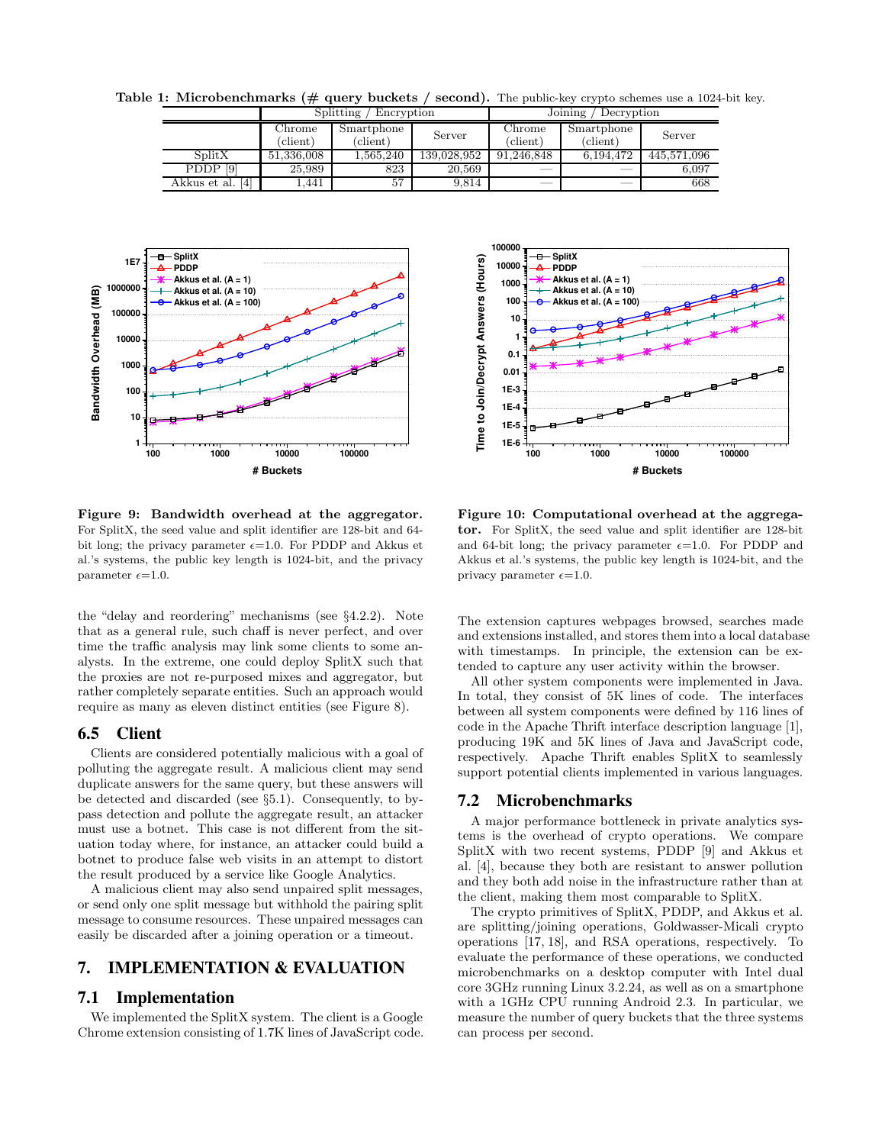Table 1: Microbenchmarks ( $\#$  query buckets / second). The public-key crypto schemes use a 1024-bit key.

|                     | Splitting<br>Encryption     |                                 |             | Joining<br>Decryption       |                                   |             |
|---------------------|-----------------------------|---------------------------------|-------------|-----------------------------|-----------------------------------|-------------|
|                     | Chrome<br>$(\text{client})$ | Smartphone<br>$\text{(client)}$ | Server      | Chrome<br>(c <i>limit</i> ) | Smartphone<br>$(\mathrm{client})$ | Server      |
| SplitX              | 51,336,008                  | 1.565.240                       | 139,028,952 | 91.246.848                  | 6.194.472                         | 445,571,096 |
| [9]<br>PDDP         | 25,989                      | 823                             | 20,569      |                             |                                   | 6.097       |
| [4]<br>Akkus et al. | l.441                       | 57                              | 9.814       | $\overline{\phantom{a}}$    | $\overline{\phantom{a}}$          | 668         |



Figure 9: Bandwidth overhead at the aggregator. For SplitX, the seed value and split identifier are 128-bit and 64 bit long; the privacy parameter  $\epsilon=1.0$ . For PDDP and Akkus et al.'s systems, the public key length is 1024-bit, and the privacy parameter  $\epsilon = 1.0$ .

the "delay and reordering" mechanisms (see §4.2.2). Note that as a general rule, such chaff is never perfect, and over time the traffic analysis may link some clients to some analysts. In the extreme, one could deploy SplitX such that the proxies are not re-purposed mixes and aggregator, but rather completely separate entities. Such an approach would require as many as eleven distinct entities (see Figure 8).

### **6.5 Client**

Clients are considered potentially malicious with a goal of polluting the aggregate result. A malicious client may send duplicate answers for the same query, but these answers will be detected and discarded (see §5.1). Consequently, to bypass detection and pollute the aggregate result, an attacker must use a botnet. This case is not different from the situation today where, for instance, an attacker could build a botnet to produce false web visits in an attempt to distort the result produced by a service like Google Analytics.

A malicious client may also send unpaired split messages, or send only one split message but withhold the pairing split message to consume resources. These unpaired messages can easily be discarded after a joining operation or a timeout.

### **7. IMPLEMENTATION & EVALUATION**

# **7.1 Implementation**

We implemented the SplitX system. The client is a Google Chrome extension consisting of 1.7K lines of JavaScript code.



Figure 10: Computational overhead at the aggregator. For SplitX, the seed value and split identifier are 128-bit and 64-bit long; the privacy parameter  $\epsilon=1.0$ . For PDDP and Akkus et al.'s systems, the public key length is 1024-bit, and the privacy parameter  $\epsilon = 1.0$ .

The extension captures webpages browsed, searches made and extensions installed, and stores them into a local database with timestamps. In principle, the extension can be extended to capture any user activity within the browser.

All other system components were implemented in Java. In total, they consist of 5K lines of code. The interfaces between all system components were defined by 116 lines of code in the Apache Thrift interface description language [1], producing 19K and 5K lines of Java and JavaScript code, respectively. Apache Thrift enables SplitX to seamlessly support potential clients implemented in various languages.

### **7.2 Microbenchmarks**

A major performance bottleneck in private analytics systems is the overhead of crypto operations. We compare SplitX with two recent systems, PDDP [9] and Akkus et al. [4], because they both are resistant to answer pollution and they both add noise in the infrastructure rather than at the client, making them most comparable to SplitX.

The crypto primitives of SplitX, PDDP, and Akkus et al. are splitting/joining operations, Goldwasser-Micali crypto operations [17, 18], and RSA operations, respectively. To evaluate the performance of these operations, we conducted microbenchmarks on a desktop computer with Intel dual core 3GHz running Linux 3.2.24, as well as on a smartphone with a 1GHz CPU running Android 2.3. In particular, we measure the number of query buckets that the three systems can process per second.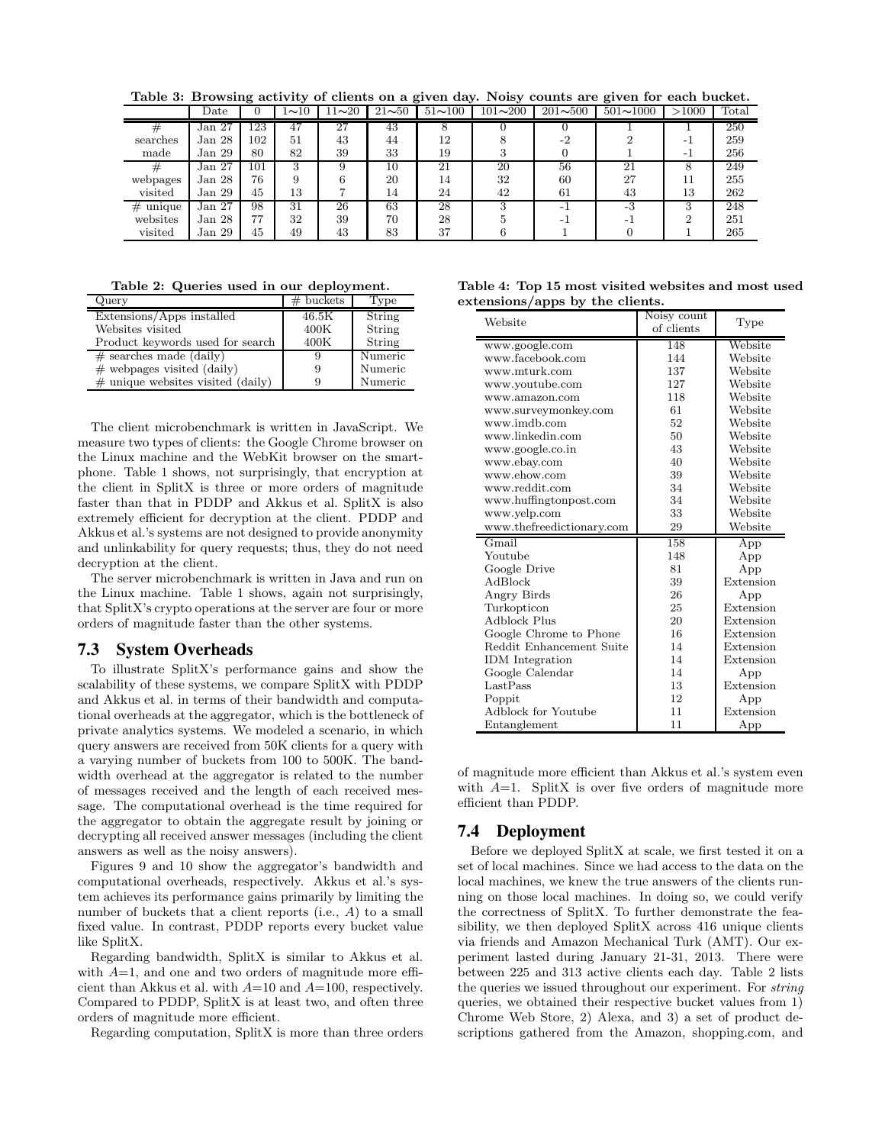Table 3: Browsing activity of clients on a given day. Noisy counts are given for each bucket.

|             | Date              |     | $1\overline{10}$ | $11 - 20$ | $21 - 50$ | $51 - 100$ | $101 - 200$ | $201 - 500$ | $501 \sim 1000$ | >1000 | Total |
|-------------|-------------------|-----|------------------|-----------|-----------|------------|-------------|-------------|-----------------|-------|-------|
| #           | Jan <sub>27</sub> | 123 | 47               | 27        | 43        | 8          |             |             |                 |       | 250   |
| searches    | Jan 28            | 102 | 51               | 43        | 44        | 12         |             | $-2$        |                 | - 1   | 259   |
| made        | Jan <sub>29</sub> | 80  | 82               | 39        | 33        | 19         |             |             |                 | - 1   | 256   |
| #           | Jan <sub>27</sub> | 101 | 3                | 9         | 10        | 21         | 20          | 56          | 21              | 8     | 249   |
| webpages    | Jan 28            | 76  | 9                |           | 20        | 14         | 32          | 60          | 27              | 11    | 255   |
| visited     | Jan <sub>29</sub> | 45  | 13               |           | 14        | 24         | 42          | 61          | 43              | 13    | 262   |
| #<br>unique | Jan <sub>27</sub> | 98  | 31               | 26        | 63        | 28         |             | - 1         | $-3$            | 3     | 248   |
| websites    | Jan 28            | 77  | 32               | 39        | 70        | 28         |             |             |                 | റ     | 251   |
| visited     | Jan 29            | 45  | 49               | 43        | 83        | 37         |             |             |                 |       | 265   |

Table 2: Queries used in our deployment.

| Query                                | $#$ buckets | Type    |
|--------------------------------------|-------------|---------|
| Extensions/Apps installed            | 46.5K       | String  |
| Websites visited                     | 400K        | String  |
| Product keywords used for search     | 400K        | String  |
| $#$ searches made (daily)            | 9           | Numeric |
| $\#$ webpages visited (daily)        | 9           | Numeric |
| $\#$ unique websites visited (daily) | 9           | Numeric |

The client microbenchmark is written in JavaScript. We measure two types of clients: the Google Chrome browser on the Linux machine and the WebKit browser on the smartphone. Table 1 shows, not surprisingly, that encryption at the client in SplitX is three or more orders of magnitude faster than that in PDDP and Akkus et al. SplitX is also extremely efficient for decryption at the client. PDDP and Akkus et al.'s systems are not designed to provide anonymity and unlinkability for query requests; thus, they do not need decryption at the client.

The server microbenchmark is written in Java and run on the Linux machine. Table 1 shows, again not surprisingly, that SplitX's crypto operations at the server are four or more orders of magnitude faster than the other systems.

### **7.3 System Overheads**

To illustrate SplitX's performance gains and show the scalability of these systems, we compare SplitX with PDDP and Akkus et al. in terms of their bandwidth and computational overheads at the aggregator, which is the bottleneck of private analytics systems. We modeled a scenario, in which query answers are received from 50K clients for a query with a varying number of buckets from 100 to 500K. The bandwidth overhead at the aggregator is related to the number of messages received and the length of each received message. The computational overhead is the time required for the aggregator to obtain the aggregate result by joining or decrypting all received answer messages (including the client answers as well as the noisy answers).

Figures 9 and 10 show the aggregator's bandwidth and computational overheads, respectively. Akkus et al.'s system achieves its performance gains primarily by limiting the number of buckets that a client reports (i.e., A) to a small fixed value. In contrast, PDDP reports every bucket value like SplitX.

Regarding bandwidth, SplitX is similar to Akkus et al. with  $A=1$ , and one and two orders of magnitude more efficient than Akkus et al. with  $A=10$  and  $A=100$ , respectively. Compared to PDDP, SplitX is at least two, and often three orders of magnitude more efficient.

Regarding computation, SplitX is more than three orders

| Table 4: Top 15 most visited websites and most used |  |
|-----------------------------------------------------|--|
| extensions/apps by the clients.                     |  |

| Website                   | Noisy count | Type      |  |
|---------------------------|-------------|-----------|--|
|                           | of clients  |           |  |
| www.google.com            | 148         | Website   |  |
| www.facebook.com          | 144         | Website   |  |
| www.mturk.com             | 137         | Website   |  |
| www.youtube.com           | 127         | Website   |  |
| www.amazon.com            | 118         | Website   |  |
| www.surveymonkey.com      | 61          | Website   |  |
| www.imdb.com              | 52          | Website   |  |
| www.linkedin.com          | 50          | Website   |  |
| www.google.co.in          | 43          | Website   |  |
| www.ebay.com              | 40          | Website   |  |
| www.ehow.com              | 39          | Website   |  |
| www.reddit.com            | 34          | Website   |  |
| www.huffingtonpost.com    | 34          | Website   |  |
| www.yelp.com              | 33          | Website   |  |
| www.thefreedictionary.com | 29          | Website   |  |
| Gmail                     | 158         | App       |  |
| Youtube                   | 148         | App       |  |
| Google Drive              | 81          | App       |  |
| AdBlock                   | 39          | Extension |  |
| Angry Birds               | 26          | App       |  |
| Turkopticon               | 25          | Extension |  |
| Adblock Plus              | 20          | Extension |  |
| Google Chrome to Phone    | 16          | Extension |  |
| Reddit Enhancement Suite  | 14          | Extension |  |
| <b>IDM</b> Integration    | 14          | Extension |  |
| Google Calendar           | 14          | App       |  |
| LastPass                  | 13          | Extension |  |
| Poppit                    | 12          | App       |  |
| Adblock for Youtube       | 11          | Extension |  |
| Entanglement              | 11          | App       |  |

of magnitude more efficient than Akkus et al.'s system even with  $A=1$ . SplitX is over five orders of magnitude more efficient than PDDP.

### **7.4 Deployment**

Before we deployed SplitX at scale, we first tested it on a set of local machines. Since we had access to the data on the local machines, we knew the true answers of the clients running on those local machines. In doing so, we could verify the correctness of SplitX. To further demonstrate the feasibility, we then deployed SplitX across 416 unique clients via friends and Amazon Mechanical Turk (AMT). Our experiment lasted during January 21-31, 2013. There were between 225 and 313 active clients each day. Table 2 lists the queries we issued throughout our experiment. For string queries, we obtained their respective bucket values from 1) Chrome Web Store, 2) Alexa, and 3) a set of product descriptions gathered from the Amazon, shopping.com, and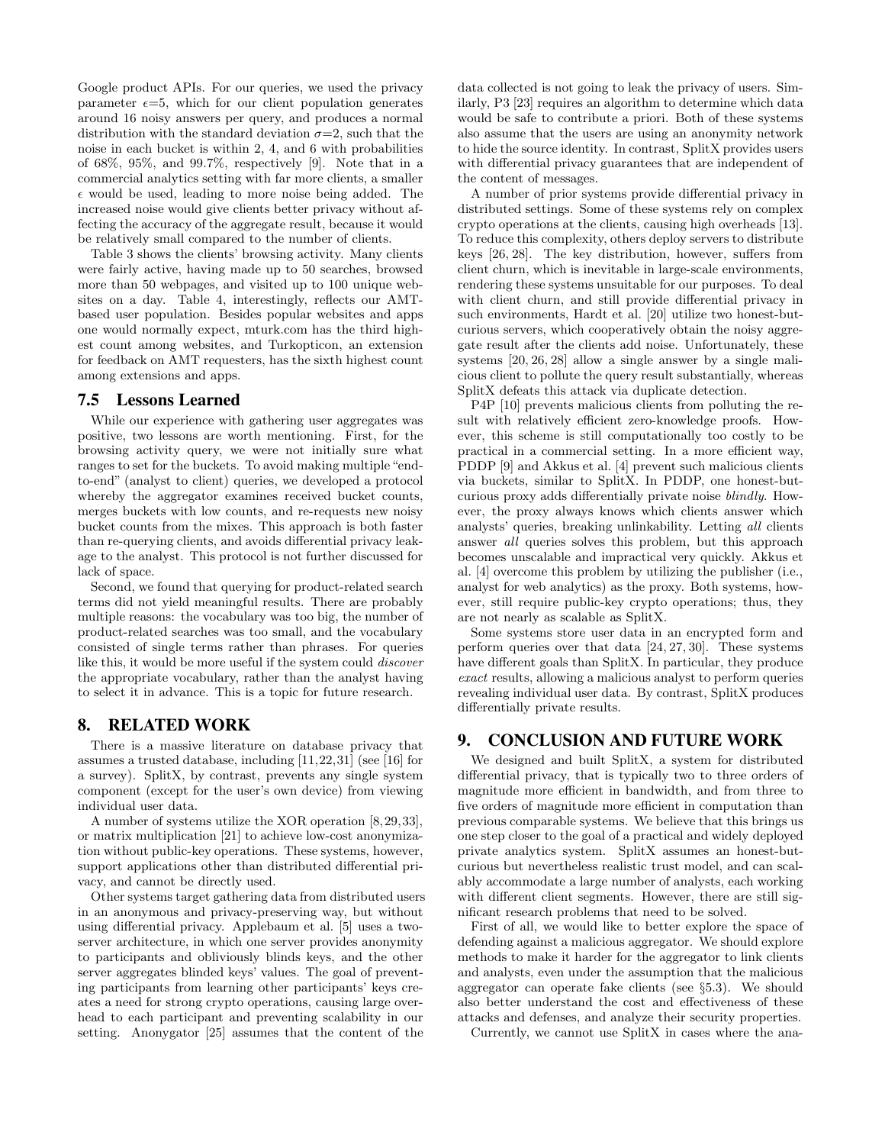Google product APIs. For our queries, we used the privacy parameter  $\epsilon = 5$ , which for our client population generates around 16 noisy answers per query, and produces a normal distribution with the standard deviation  $\sigma=2$ , such that the noise in each bucket is within 2, 4, and 6 with probabilities of 68%, 95%, and 99.7%, respectively [9]. Note that in a commercial analytics setting with far more clients, a smaller  $\epsilon$  would be used, leading to more noise being added. The increased noise would give clients better privacy without affecting the accuracy of the aggregate result, because it would be relatively small compared to the number of clients.

Table 3 shows the clients' browsing activity. Many clients were fairly active, having made up to 50 searches, browsed more than 50 webpages, and visited up to 100 unique websites on a day. Table 4, interestingly, reflects our AMTbased user population. Besides popular websites and apps one would normally expect, mturk.com has the third highest count among websites, and Turkopticon, an extension for feedback on AMT requesters, has the sixth highest count among extensions and apps.

#### **7.5 Lessons Learned**

While our experience with gathering user aggregates was positive, two lessons are worth mentioning. First, for the browsing activity query, we were not initially sure what ranges to set for the buckets. To avoid making multiple "endto-end" (analyst to client) queries, we developed a protocol whereby the aggregator examines received bucket counts, merges buckets with low counts, and re-requests new noisy bucket counts from the mixes. This approach is both faster than re-querying clients, and avoids differential privacy leakage to the analyst. This protocol is not further discussed for lack of space.

Second, we found that querying for product-related search terms did not yield meaningful results. There are probably multiple reasons: the vocabulary was too big, the number of product-related searches was too small, and the vocabulary consisted of single terms rather than phrases. For queries like this, it would be more useful if the system could discover the appropriate vocabulary, rather than the analyst having to select it in advance. This is a topic for future research.

### **8. RELATED WORK**

There is a massive literature on database privacy that assumes a trusted database, including [11,22,31] (see [16] for a survey). SplitX, by contrast, prevents any single system component (except for the user's own device) from viewing individual user data.

A number of systems utilize the XOR operation [8,29,33], or matrix multiplication [21] to achieve low-cost anonymization without public-key operations. These systems, however, support applications other than distributed differential privacy, and cannot be directly used.

Other systems target gathering data from distributed users in an anonymous and privacy-preserving way, but without using differential privacy. Applebaum et al. [5] uses a twoserver architecture, in which one server provides anonymity to participants and obliviously blinds keys, and the other server aggregates blinded keys' values. The goal of preventing participants from learning other participants' keys creates a need for strong crypto operations, causing large overhead to each participant and preventing scalability in our setting. Anonygator [25] assumes that the content of the

data collected is not going to leak the privacy of users. Similarly, P3 [23] requires an algorithm to determine which data would be safe to contribute a priori. Both of these systems also assume that the users are using an anonymity network to hide the source identity. In contrast, SplitX provides users with differential privacy guarantees that are independent of the content of messages.

A number of prior systems provide differential privacy in distributed settings. Some of these systems rely on complex crypto operations at the clients, causing high overheads [13]. To reduce this complexity, others deploy servers to distribute keys [26, 28]. The key distribution, however, suffers from client churn, which is inevitable in large-scale environments, rendering these systems unsuitable for our purposes. To deal with client churn, and still provide differential privacy in such environments, Hardt et al. [20] utilize two honest-butcurious servers, which cooperatively obtain the noisy aggregate result after the clients add noise. Unfortunately, these systems [20, 26, 28] allow a single answer by a single malicious client to pollute the query result substantially, whereas SplitX defeats this attack via duplicate detection.

P4P [10] prevents malicious clients from polluting the result with relatively efficient zero-knowledge proofs. However, this scheme is still computationally too costly to be practical in a commercial setting. In a more efficient way, PDDP [9] and Akkus et al. [4] prevent such malicious clients via buckets, similar to SplitX. In PDDP, one honest-butcurious proxy adds differentially private noise blindly. However, the proxy always knows which clients answer which analysts' queries, breaking unlinkability. Letting all clients answer all queries solves this problem, but this approach becomes unscalable and impractical very quickly. Akkus et al. [4] overcome this problem by utilizing the publisher (i.e., analyst for web analytics) as the proxy. Both systems, however, still require public-key crypto operations; thus, they are not nearly as scalable as SplitX.

Some systems store user data in an encrypted form and perform queries over that data [24, 27, 30]. These systems have different goals than SplitX. In particular, they produce exact results, allowing a malicious analyst to perform queries revealing individual user data. By contrast, SplitX produces differentially private results.

# **9. CONCLUSION AND FUTURE WORK**

We designed and built SplitX, a system for distributed differential privacy, that is typically two to three orders of magnitude more efficient in bandwidth, and from three to five orders of magnitude more efficient in computation than previous comparable systems. We believe that this brings us one step closer to the goal of a practical and widely deployed private analytics system. SplitX assumes an honest-butcurious but nevertheless realistic trust model, and can scalably accommodate a large number of analysts, each working with different client segments. However, there are still significant research problems that need to be solved.

First of all, we would like to better explore the space of defending against a malicious aggregator. We should explore methods to make it harder for the aggregator to link clients and analysts, even under the assumption that the malicious aggregator can operate fake clients (see §5.3). We should also better understand the cost and effectiveness of these attacks and defenses, and analyze their security properties.

Currently, we cannot use SplitX in cases where the ana-